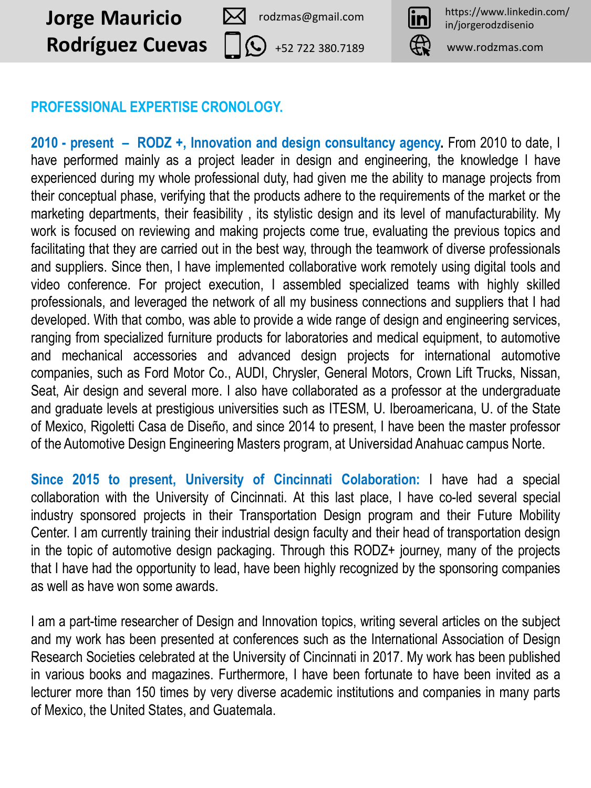**Jorge Mauricio** 2 rodzmas@gmail.com **in** https://www.linkedin.com/ **Rodríguez Cuevas**

rodzmas@gmail.com



+52 722 380.7189 www.rodzmas.com

#### **PROFESSIONAL EXPERTISE CRONOLOGY.**

**2010 - present – RODZ +, Innovation and design consultancy agency.** From 2010 to date, I have performed mainly as a project leader in design and engineering, the knowledge I have experienced during my whole professional duty, had given me the ability to manage projects from their conceptual phase, verifying that the products adhere to the requirements of the market or the marketing departments, their feasibility , its stylistic design and its level of manufacturability. My work is focused on reviewing and making projects come true, evaluating the previous topics and facilitating that they are carried out in the best way, through the teamwork of diverse professionals and suppliers. Since then, I have implemented collaborative work remotely using digital tools and video conference. For project execution, I assembled specialized teams with highly skilled professionals, and leveraged the network of all my business connections and suppliers that I had developed. With that combo, was able to provide a wide range of design and engineering services, ranging from specialized furniture products for laboratories and medical equipment, to automotive and mechanical accessories and advanced design projects for international automotive companies, such as Ford Motor Co., AUDI, Chrysler, General Motors, Crown Lift Trucks, Nissan, Seat, Air design and several more. I also have collaborated as a professor at the undergraduate and graduate levels at prestigious universities such as ITESM, U. Iberoamericana, U. of the State of Mexico, Rigoletti Casa de Diseño, and since 2014 to present, I have been the master professor of the Automotive Design Engineering Masters program, at Universidad Anahuac campus Norte.

**Since 2015 to present, University of Cincinnati Colaboration:** I have had a special collaboration with the University of Cincinnati. At this last place, I have co-led several special industry sponsored projects in their Transportation Design program and their Future Mobility Center. I am currently training their industrial design faculty and their head of transportation design in the topic of automotive design packaging. Through this RODZ+ journey, many of the projects that I have had the opportunity to lead, have been highly recognized by the sponsoring companies as well as have won some awards.

I am a part-time researcher of Design and Innovation topics, writing several articles on the subject and my work has been presented at conferences such as the International Association of Design Research Societies celebrated at the University of Cincinnati in 2017. My work has been published in various books and magazines. Furthermore, I have been fortunate to have been invited as a lecturer more than 150 times by very diverse academic institutions and companies in many parts of Mexico, the United States, and Guatemala.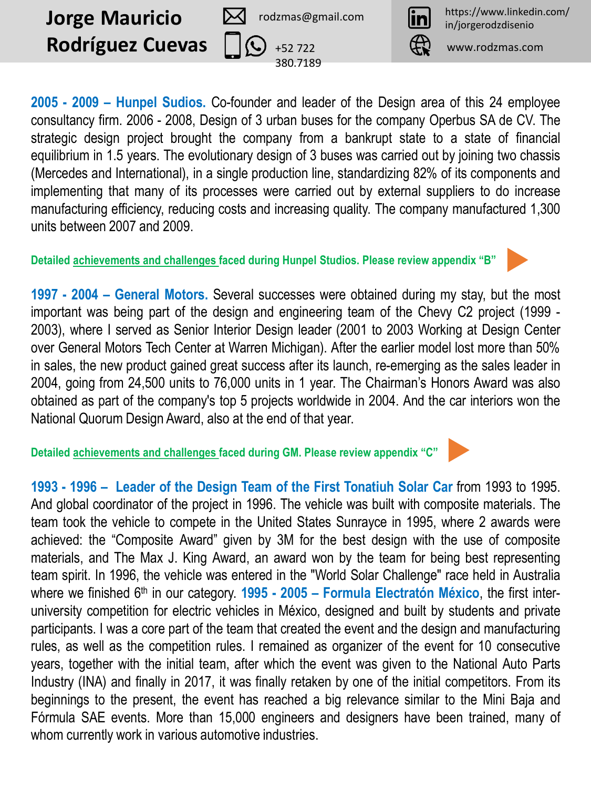

rodzmas@gmail.com

380.7189

+52 722 www.rodzmas.com

**2005 - 2009 – Hunpel Sudios.** Co-founder and leader of the Design area of this 24 employee consultancy firm. 2006 - 2008, Design of 3 urban buses for the company Operbus SA de CV. The strategic design project brought the company from a bankrupt state to a state of financial equilibrium in 1.5 years. The evolutionary design of 3 buses was carried out by joining two chassis (Mercedes and International), in a single production line, standardizing 82% of its components and implementing that many of its processes were carried out by external suppliers to do increase manufacturing efficiency, reducing costs and increasing quality. The company manufactured 1,300 units between 2007 and 2009.

**Detailed achievements and challenges faced during Hunpel Studios. Please review appendix "B"**

**1997 - 2004 – General Motors.** Several successes were obtained during my stay, but the most important was being part of the design and engineering team of the Chevy C2 project (1999 - 2003), where I served as Senior Interior Design leader (2001 to 2003 Working at Design Center over General Motors Tech Center at Warren Michigan). After the earlier model lost more than 50% in sales, the new product gained great success after its launch, re-emerging as the sales leader in 2004, going from 24,500 units to 76,000 units in 1 year. The Chairman's Honors Award was also obtained as part of the company's top 5 projects worldwide in 2004. And the car interiors won the National Quorum Design Award, also at the end of that year.

**Detailed achievements and challenges faced during GM. Please review appendix "C"**



materials, and The Max J. King Award, an award won by the team for being best representing team spirit. In 1996, the vehicle was entered in the "World Solar Challenge" race held in Australia where we finished 6<sup>th</sup> in our category. **1995 - 2005 – Formula Electratón México**, the first interuniversity competition for electric vehicles in México, designed and built by students and private participants. I was a core part of the team that created the event and the design and manufacturing rules, as well as the competition rules. I remained as organizer of the event for 10 consecutive years, together with the initial team, after which the event was given to the National Auto Parts Industry (INA) and finally in 2017, it was finally retaken by one of the initial competitors. From its beginnings to the present, the event has reached a big relevance similar to the Mini Baja and Fórmula SAE events. More than 15,000 engineers and designers have been trained, many of whom currently work in various automotive industries.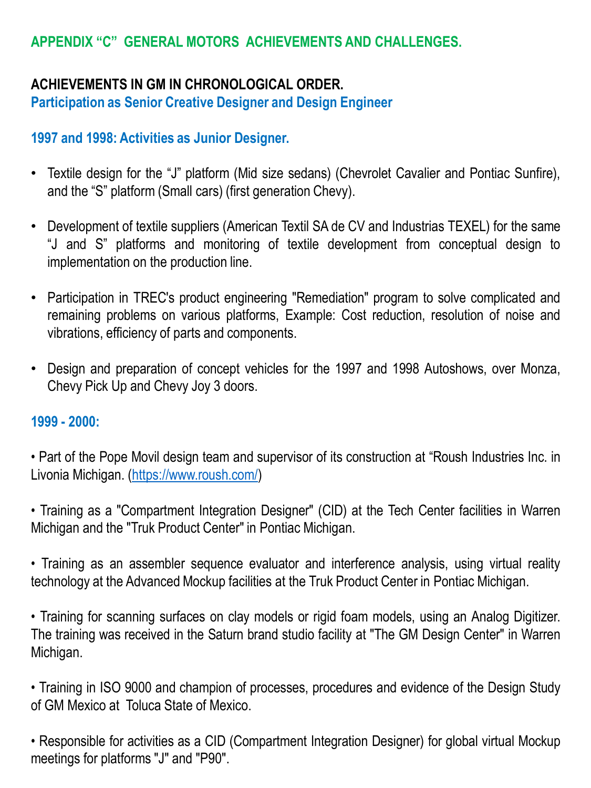### **APPENDIX "C" GENERAL MOTORS ACHIEVEMENTS AND CHALLENGES.**

# **ACHIEVEMENTS IN GM IN CHRONOLOGICAL ORDER.**

**Participation as Senior Creative Designer and Design Engineer**

### **1997 and 1998: Activities as Junior Designer.**

- Textile design for the "J" platform (Mid size sedans) (Chevrolet Cavalier and Pontiac Sunfire), and the "S" platform (Small cars) (first generation Chevy).
- Development of textile suppliers (American Textil SA de CV and Industrias TEXEL) for the same "J and S" platforms and monitoring of textile development from conceptual design to implementation on the production line.
- Participation in TREC's product engineering "Remediation" program to solve complicated and remaining problems on various platforms, Example: Cost reduction, resolution of noise and vibrations, efficiency of parts and components.
- Design and preparation of concept vehicles for the 1997 and 1998 Autoshows, over Monza, Chevy Pick Up and Chevy Joy 3 doors.

#### **1999 - 2000:**

• Part of the Pope Movil design team and supervisor of its construction at "Roush Industries Inc. in Livonia Michigan. ([https://www.roush.com/\)](https://www.roush.com/)

• Training as a "Compartment Integration Designer" (CID) at the Tech Center facilities in Warren Michigan and the "Truk Product Center" in Pontiac Michigan.

• Training as an assembler sequence evaluator and interference analysis, using virtual reality technology at the Advanced Mockup facilities at the Truk Product Center in Pontiac Michigan.

• Training for scanning surfaces on clay models or rigid foam models, using an Analog Digitizer. The training was received in the Saturn brand studio facility at "The GM Design Center" in Warren Michigan.

• Training in ISO 9000 and champion of processes, procedures and evidence of the Design Study of GM Mexico at Toluca State of Mexico.

• Responsible for activities as a CID (Compartment Integration Designer) for global virtual Mockup meetings for platforms "J" and "P90".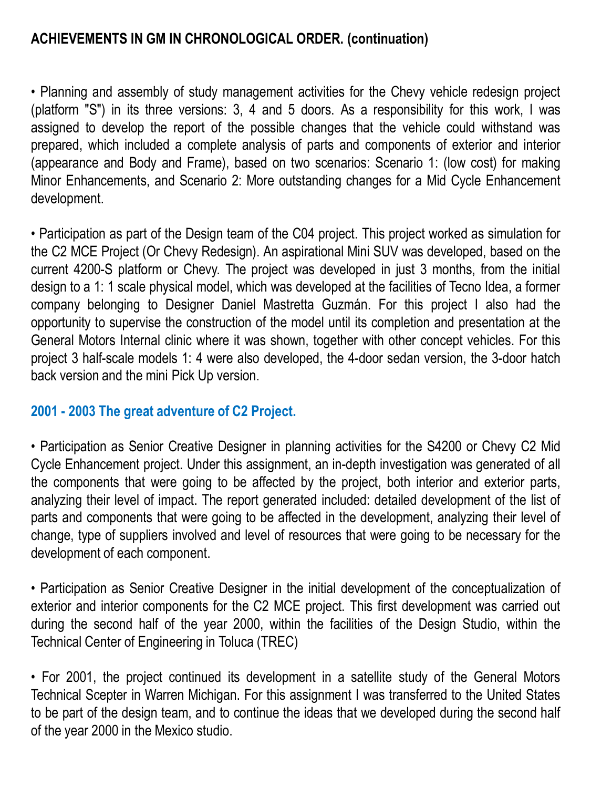• Planning and assembly of study management activities for the Chevy vehicle redesign project (platform "S") in its three versions: 3, 4 and 5 doors. As a responsibility for this work, I was assigned to develop the report of the possible changes that the vehicle could withstand was prepared, which included a complete analysis of parts and components of exterior and interior (appearance and Body and Frame), based on two scenarios: Scenario 1: (low cost) for making Minor Enhancements, and Scenario 2: More outstanding changes for a Mid Cycle Enhancement development.

• Participation as part of the Design team of the C04 project. This project worked as simulation for the C2 MCE Project (Or Chevy Redesign). An aspirational Mini SUV was developed, based on the current 4200-S platform or Chevy. The project was developed in just 3 months, from the initial design to a 1: 1 scale physical model, which was developed at the facilities of Tecno Idea, a former company belonging to Designer Daniel Mastretta Guzmán. For this project I also had the opportunity to supervise the construction of the model until its completion and presentation at the General Motors Internal clinic where it was shown, together with other concept vehicles. For this project 3 half-scale models 1: 4 were also developed, the 4-door sedan version, the 3-door hatch back version and the mini Pick Up version.

### **2001 - 2003 The great adventure of C2 Project.**

• Participation as Senior Creative Designer in planning activities for the S4200 or Chevy C2 Mid Cycle Enhancement project. Under this assignment, an in-depth investigation was generated of all the components that were going to be affected by the project, both interior and exterior parts, analyzing their level of impact. The report generated included: detailed development of the list of parts and components that were going to be affected in the development, analyzing their level of change, type of suppliers involved and level of resources that were going to be necessary for the development of each component.

• Participation as Senior Creative Designer in the initial development of the conceptualization of exterior and interior components for the C2 MCE project. This first development was carried out during the second half of the year 2000, within the facilities of the Design Studio, within the Technical Center of Engineering in Toluca (TREC)

• For 2001, the project continued its development in a satellite study of the General Motors Technical Scepter in Warren Michigan. For this assignment I was transferred to the United States to be part of the design team, and to continue the ideas that we developed during the second half of the year 2000 in the Mexico studio.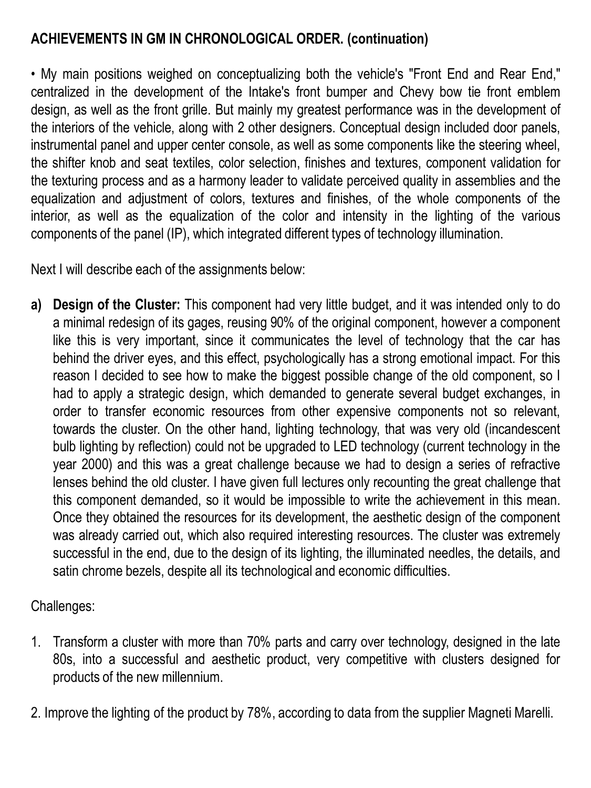• My main positions weighed on conceptualizing both the vehicle's "Front End and Rear End," centralized in the development of the Intake's front bumper and Chevy bow tie front emblem design, as well as the front grille. But mainly my greatest performance was in the development of the interiors of the vehicle, along with 2 other designers. Conceptual design included door panels, instrumental panel and upper center console, as well as some components like the steering wheel, the shifter knob and seat textiles, color selection, finishes and textures, component validation for the texturing process and as a harmony leader to validate perceived quality in assemblies and the equalization and adjustment of colors, textures and finishes, of the whole components of the interior, as well as the equalization of the color and intensity in the lighting of the various components of the panel (IP), which integrated different types of technology illumination.

Next I will describe each of the assignments below:

**a) Design of the Cluster:** This component had very little budget, and it was intended only to do a minimal redesign of its gages, reusing 90% of the original component, however a component like this is very important, since it communicates the level of technology that the car has behind the driver eyes, and this effect, psychologically has a strong emotional impact. For this reason I decided to see how to make the biggest possible change of the old component, so I had to apply a strategic design, which demanded to generate several budget exchanges, in order to transfer economic resources from other expensive components not so relevant, towards the cluster. On the other hand, lighting technology, that was very old (incandescent bulb lighting by reflection) could not be upgraded to LED technology (current technology in the year 2000) and this was a great challenge because we had to design a series of refractive lenses behind the old cluster. I have given full lectures only recounting the great challenge that this component demanded, so it would be impossible to write the achievement in this mean. Once they obtained the resources for its development, the aesthetic design of the component was already carried out, which also required interesting resources. The cluster was extremely successful in the end, due to the design of its lighting, the illuminated needles, the details, and satin chrome bezels, despite all its technological and economic difficulties.

Challenges:

- 1. Transform a cluster with more than 70% parts and carry over technology, designed in the late 80s, into a successful and aesthetic product, very competitive with clusters designed for products of the new millennium.
- 2. Improve the lighting of the product by 78%, according to data from the supplier Magneti Marelli.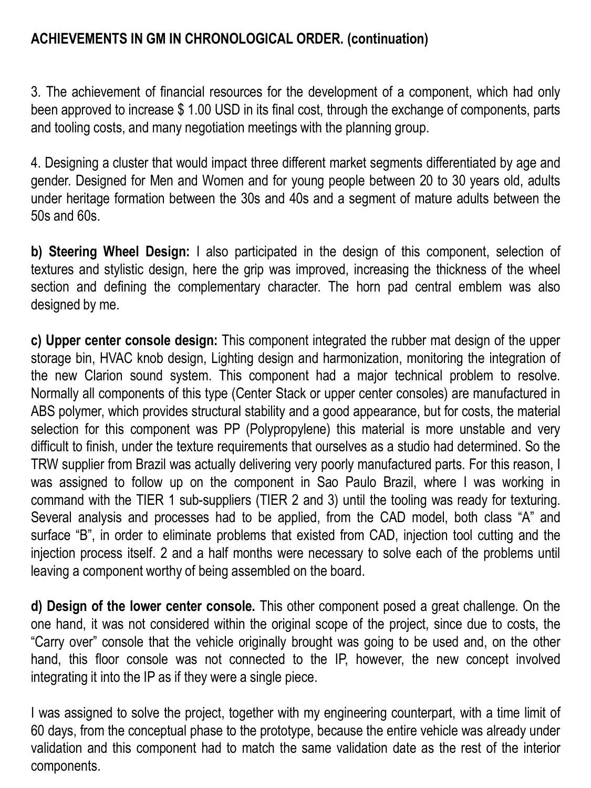3. The achievement of financial resources for the development of a component, which had only been approved to increase \$ 1.00 USD in its final cost, through the exchange of components, parts and tooling costs, and many negotiation meetings with the planning group.

4. Designing a cluster that would impact three different market segments differentiated by age and gender. Designed for Men and Women and for young people between 20 to 30 years old, adults under heritage formation between the 30s and 40s and a segment of mature adults between the 50s and 60s.

**b) Steering Wheel Design:** I also participated in the design of this component, selection of textures and stylistic design, here the grip was improved, increasing the thickness of the wheel section and defining the complementary character. The horn pad central emblem was also designed by me.

**c) Upper center console design:** This component integrated the rubber mat design of the upper storage bin, HVAC knob design, Lighting design and harmonization, monitoring the integration of the new Clarion sound system. This component had a major technical problem to resolve. Normally all components of this type (Center Stack or upper center consoles) are manufactured in ABS polymer, which provides structural stability and a good appearance, but for costs, the material selection for this component was PP (Polypropylene) this material is more unstable and very difficult to finish, under the texture requirements that ourselves as a studio had determined. So the TRW supplier from Brazil was actually delivering very poorly manufactured parts. For this reason, I was assigned to follow up on the component in Sao Paulo Brazil, where I was working in command with the TIER 1 sub-suppliers (TIER 2 and 3) until the tooling was ready for texturing. Several analysis and processes had to be applied, from the CAD model, both class "A" and surface "B", in order to eliminate problems that existed from CAD, injection tool cutting and the injection process itself. 2 and a half months were necessary to solve each of the problems until leaving a component worthy of being assembled on the board.

**d) Design of the lower center console.** This other component posed a great challenge. On the one hand, it was not considered within the original scope of the project, since due to costs, the "Carry over" console that the vehicle originally brought was going to be used and, on the other hand, this floor console was not connected to the IP, however, the new concept involved integrating it into the IP as if they were a single piece.

I was assigned to solve the project, together with my engineering counterpart, with a time limit of 60 days, from the conceptual phase to the prototype, because the entire vehicle was already under validation and this component had to match the same validation date as the rest of the interior components.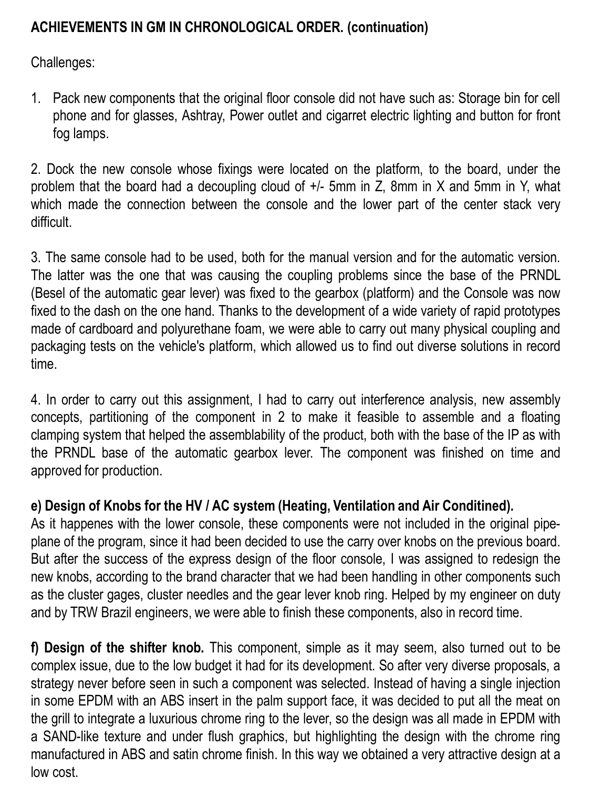Challenges:

1. Pack new components that the original floor console did not have such as: Storage bin for cell phone and for glasses, Ashtray, Power outlet and cigarret electric lighting and button for front fog lamps.

2. Dock the new console whose fixings were located on the platform, to the board, under the problem that the board had a decoupling cloud of +/- 5mm in Z, 8mm in X and 5mm in Y, what which made the connection between the console and the lower part of the center stack very difficult.

3. The same console had to be used, both for the manual version and for the automatic version. The latter was the one that was causing the coupling problems since the base of the PRNDL (Besel of the automatic gear lever) was fixed to the gearbox (platform) and the Console was now fixed to the dash on the one hand. Thanks to the development of a wide variety of rapid prototypes made of cardboard and polyurethane foam, we were able to carry out many physical coupling and packaging tests on the vehicle's platform, which allowed us to find out diverse solutions in record time.

4. In order to carry out this assignment, I had to carry out interference analysis, new assembly concepts, partitioning of the component in 2 to make it feasible to assemble and a floating clamping system that helped the assemblability of the product, both with the base of the IP as with the PRNDL base of the automatic gearbox lever. The component was finished on time and approved for production.

### **e) Design of Knobs for the HV / AC system (Heating, Ventilation and Air Conditined).**

As it happenes with the lower console, these components were not included in the original pipeplane of the program, since it had been decided to use the carry over knobs on the previous board. But after the success of the express design of the floor console, I was assigned to redesign the new knobs, according to the brand character that we had been handling in other components such as the cluster gages, cluster needles and the gear lever knob ring. Helped by my engineer on duty and by TRW Brazil engineers, we were able to finish these components, also in record time.

**f) Design of the shifter knob.** This component, simple as it may seem, also turned out to be complex issue, due to the low budget it had for its development. So after very diverse proposals, a strategy never before seen in such a component was selected. Instead of having a single injection in some EPDM with an ABS insert in the palm support face, it was decided to put all the meat on the grill to integrate a luxurious chrome ring to the lever, so the design was all made in EPDM with a SAND-like texture and under flush graphics, but highlighting the design with the chrome ring manufactured in ABS and satin chrome finish. In this way we obtained a very attractive design at a low cost.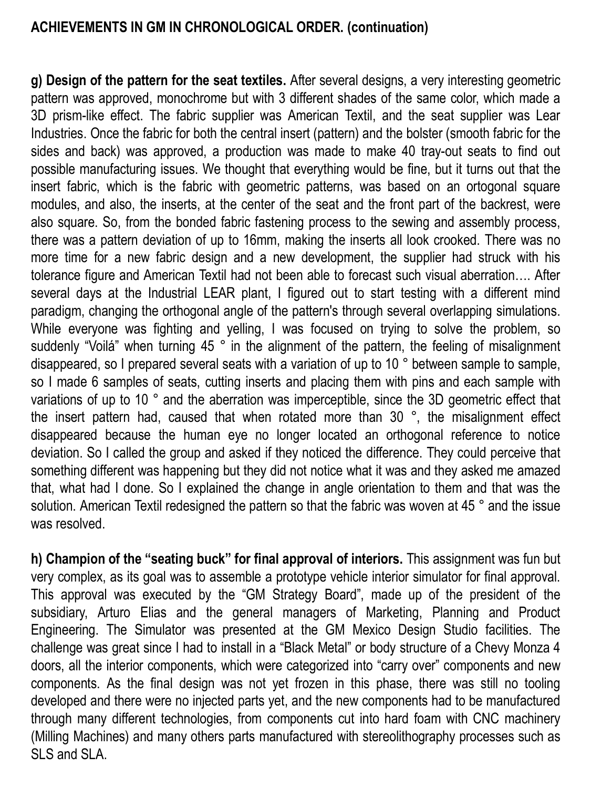**g) Design of the pattern for the seat textiles.** After several designs, a very interesting geometric pattern was approved, monochrome but with 3 different shades of the same color, which made a 3D prism-like effect. The fabric supplier was American Textil, and the seat supplier was Lear Industries. Once the fabric for both the central insert (pattern) and the bolster (smooth fabric for the sides and back) was approved, a production was made to make 40 tray-out seats to find out possible manufacturing issues. We thought that everything would be fine, but it turns out that the insert fabric, which is the fabric with geometric patterns, was based on an ortogonal square modules, and also, the inserts, at the center of the seat and the front part of the backrest, were also square. So, from the bonded fabric fastening process to the sewing and assembly process, there was a pattern deviation of up to 16mm, making the inserts all look crooked. There was no more time for a new fabric design and a new development, the supplier had struck with his tolerance figure and American Textil had not been able to forecast such visual aberration…. After several days at the Industrial LEAR plant, I figured out to start testing with a different mind paradigm, changing the orthogonal angle of the pattern's through several overlapping simulations. While everyone was fighting and yelling, I was focused on trying to solve the problem, so suddenly "Voilá" when turning 45 ° in the alignment of the pattern, the feeling of misalignment disappeared, so I prepared several seats with a variation of up to 10 ° between sample to sample, so I made 6 samples of seats, cutting inserts and placing them with pins and each sample with variations of up to 10 ° and the aberration was imperceptible, since the 3D geometric effect that the insert pattern had, caused that when rotated more than 30 °, the misalignment effect disappeared because the human eye no longer located an orthogonal reference to notice deviation. So I called the group and asked if they noticed the difference. They could perceive that something different was happening but they did not notice what it was and they asked me amazed that, what had I done. So I explained the change in angle orientation to them and that was the solution. American Textil redesigned the pattern so that the fabric was woven at 45 ° and the issue was resolved.

**h) Champion of the "seating buck" for final approval of interiors.** This assignment was fun but very complex, as its goal was to assemble a prototype vehicle interior simulator for final approval. This approval was executed by the "GM Strategy Board", made up of the president of the subsidiary, Arturo Elias and the general managers of Marketing, Planning and Product Engineering. The Simulator was presented at the GM Mexico Design Studio facilities. The challenge was great since I had to install in a "Black Metal" or body structure of a Chevy Monza 4 doors, all the interior components, which were categorized into "carry over" components and new components. As the final design was not yet frozen in this phase, there was still no tooling developed and there were no injected parts yet, and the new components had to be manufactured through many different technologies, from components cut into hard foam with CNC machinery (Milling Machines) and many others parts manufactured with stereolithography processes such as SLS and SLA.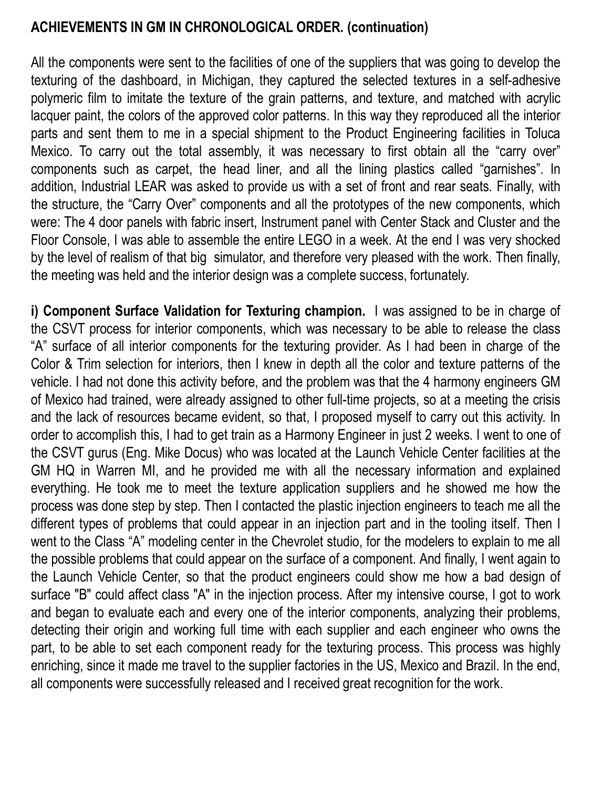All the components were sent to the facilities of one of the suppliers that was going to develop the texturing of the dashboard, in Michigan, they captured the selected textures in a self-adhesive polymeric film to imitate the texture of the grain patterns, and texture, and matched with acrylic lacquer paint, the colors of the approved color patterns. In this way they reproduced all the interior parts and sent them to me in a special shipment to the Product Engineering facilities in Toluca Mexico. To carry out the total assembly, it was necessary to first obtain all the "carry over" components such as carpet, the head liner, and all the lining plastics called "garnishes". In addition, Industrial LEAR was asked to provide us with a set of front and rear seats. Finally, with the structure, the "Carry Over" components and all the prototypes of the new components, which were: The 4 door panels with fabric insert, Instrument panel with Center Stack and Cluster and the Floor Console, I was able to assemble the entire LEGO in a week. At the end I was very shocked by the level of realism of that big simulator, and therefore very pleased with the work. Then finally, the meeting was held and the interior design was a complete success, fortunately.

**i) Component Surface Validation for Texturing champion.** I was assigned to be in charge of the CSVT process for interior components, which was necessary to be able to release the class "A" surface of all interior components for the texturing provider. As I had been in charge of the Color & Trim selection for interiors, then I knew in depth all the color and texture patterns of the vehicle. I had not done this activity before, and the problem was that the 4 harmony engineers GM of Mexico had trained, were already assigned to other full-time projects, so at a meeting the crisis and the lack of resources became evident, so that, I proposed myself to carry out this activity. In order to accomplish this, I had to get train as a Harmony Engineer in just 2 weeks. I went to one of the CSVT gurus (Eng. Mike Docus) who was located at the Launch Vehicle Center facilities at the GM HQ in Warren MI, and he provided me with all the necessary information and explained everything. He took me to meet the texture application suppliers and he showed me how the process was done step by step. Then I contacted the plastic injection engineers to teach me all the different types of problems that could appear in an injection part and in the tooling itself. Then I went to the Class "A" modeling center in the Chevrolet studio, for the modelers to explain to me all the possible problems that could appear on the surface of a component. And finally, I went again to the Launch Vehicle Center, so that the product engineers could show me how a bad design of surface "B" could affect class "A" in the injection process. After my intensive course, I got to work and began to evaluate each and every one of the interior components, analyzing their problems, detecting their origin and working full time with each supplier and each engineer who owns the part, to be able to set each component ready for the texturing process. This process was highly enriching, since it made me travel to the supplier factories in the US, Mexico and Brazil. In the end, all components were successfully released and I received great recognition for the work.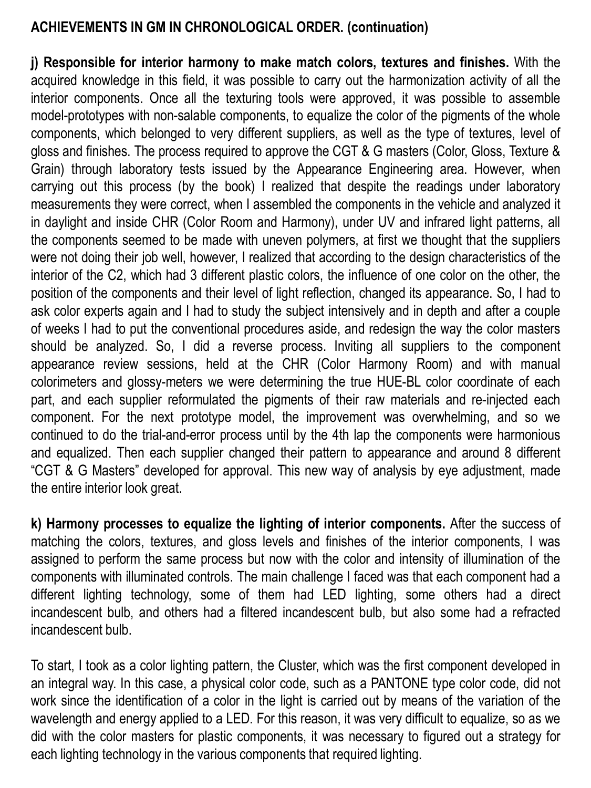**j) Responsible for interior harmony to make match colors, textures and finishes.** With the acquired knowledge in this field, it was possible to carry out the harmonization activity of all the interior components. Once all the texturing tools were approved, it was possible to assemble model-prototypes with non-salable components, to equalize the color of the pigments of the whole components, which belonged to very different suppliers, as well as the type of textures, level of gloss and finishes. The process required to approve the CGT & G masters (Color, Gloss, Texture & Grain) through laboratory tests issued by the Appearance Engineering area. However, when carrying out this process (by the book) I realized that despite the readings under laboratory measurements they were correct, when I assembled the components in the vehicle and analyzed it in daylight and inside CHR (Color Room and Harmony), under UV and infrared light patterns, all the components seemed to be made with uneven polymers, at first we thought that the suppliers were not doing their job well, however, I realized that according to the design characteristics of the interior of the C2, which had 3 different plastic colors, the influence of one color on the other, the position of the components and their level of light reflection, changed its appearance. So, I had to ask color experts again and I had to study the subject intensively and in depth and after a couple of weeks I had to put the conventional procedures aside, and redesign the way the color masters should be analyzed. So, I did a reverse process. Inviting all suppliers to the component appearance review sessions, held at the CHR (Color Harmony Room) and with manual colorimeters and glossy-meters we were determining the true HUE-BL color coordinate of each part, and each supplier reformulated the pigments of their raw materials and re-injected each component. For the next prototype model, the improvement was overwhelming, and so we continued to do the trial-and-error process until by the 4th lap the components were harmonious and equalized. Then each supplier changed their pattern to appearance and around 8 different "CGT & G Masters" developed for approval. This new way of analysis by eye adjustment, made the entire interior look great.

**k) Harmony processes to equalize the lighting of interior components.** After the success of matching the colors, textures, and gloss levels and finishes of the interior components, I was assigned to perform the same process but now with the color and intensity of illumination of the components with illuminated controls. The main challenge I faced was that each component had a different lighting technology, some of them had LED lighting, some others had a direct incandescent bulb, and others had a filtered incandescent bulb, but also some had a refracted incandescent bulb.

To start, I took as a color lighting pattern, the Cluster, which was the first component developed in an integral way. In this case, a physical color code, such as a PANTONE type color code, did not work since the identification of a color in the light is carried out by means of the variation of the wavelength and energy applied to a LED. For this reason, it was very difficult to equalize, so as we did with the color masters for plastic components, it was necessary to figured out a strategy for each lighting technology in the various components that required lighting.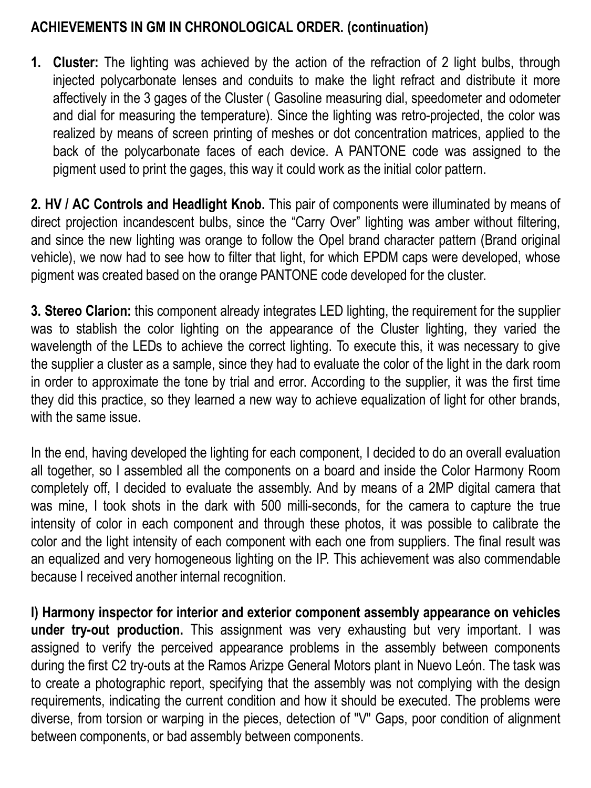**1. Cluster:** The lighting was achieved by the action of the refraction of 2 light bulbs, through injected polycarbonate lenses and conduits to make the light refract and distribute it more affectively in the 3 gages of the Cluster ( Gasoline measuring dial, speedometer and odometer and dial for measuring the temperature). Since the lighting was retro-projected, the color was realized by means of screen printing of meshes or dot concentration matrices, applied to the back of the polycarbonate faces of each device. A PANTONE code was assigned to the pigment used to print the gages, this way it could work as the initial color pattern.

**2. HV / AC Controls and Headlight Knob.** This pair of components were illuminated by means of direct projection incandescent bulbs, since the "Carry Over" lighting was amber without filtering, and since the new lighting was orange to follow the Opel brand character pattern (Brand original vehicle), we now had to see how to filter that light, for which EPDM caps were developed, whose pigment was created based on the orange PANTONE code developed for the cluster.

**3. Stereo Clarion:** this component already integrates LED lighting, the requirement for the supplier was to stablish the color lighting on the appearance of the Cluster lighting, they varied the wavelength of the LEDs to achieve the correct lighting. To execute this, it was necessary to give the supplier a cluster as a sample, since they had to evaluate the color of the light in the dark room in order to approximate the tone by trial and error. According to the supplier, it was the first time they did this practice, so they learned a new way to achieve equalization of light for other brands, with the same issue.

In the end, having developed the lighting for each component, I decided to do an overall evaluation all together, so I assembled all the components on a board and inside the Color Harmony Room completely off, I decided to evaluate the assembly. And by means of a 2MP digital camera that was mine, I took shots in the dark with 500 milli-seconds, for the camera to capture the true intensity of color in each component and through these photos, it was possible to calibrate the color and the light intensity of each component with each one from suppliers. The final result was an equalized and very homogeneous lighting on the IP. This achievement was also commendable because I received another internal recognition.

**l) Harmony inspector for interior and exterior component assembly appearance on vehicles under try-out production.** This assignment was very exhausting but very important. I was assigned to verify the perceived appearance problems in the assembly between components during the first C2 try-outs at the Ramos Arizpe General Motors plant in Nuevo León. The task was to create a photographic report, specifying that the assembly was not complying with the design requirements, indicating the current condition and how it should be executed. The problems were diverse, from torsion or warping in the pieces, detection of "V" Gaps, poor condition of alignment between components, or bad assembly between components.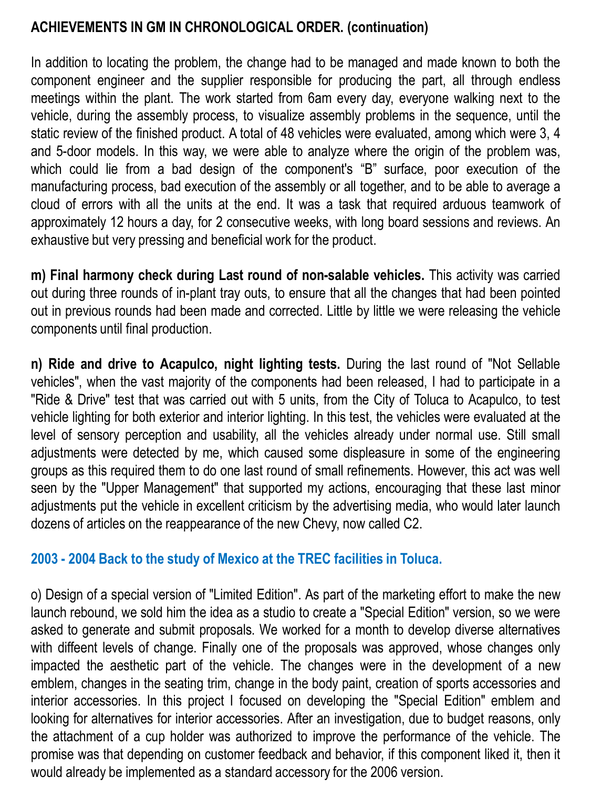In addition to locating the problem, the change had to be managed and made known to both the component engineer and the supplier responsible for producing the part, all through endless meetings within the plant. The work started from 6am every day, everyone walking next to the vehicle, during the assembly process, to visualize assembly problems in the sequence, until the static review of the finished product. A total of 48 vehicles were evaluated, among which were 3, 4 and 5-door models. In this way, we were able to analyze where the origin of the problem was, which could lie from a bad design of the component's "B" surface, poor execution of the manufacturing process, bad execution of the assembly or all together, and to be able to average a cloud of errors with all the units at the end. It was a task that required arduous teamwork of approximately 12 hours a day, for 2 consecutive weeks, with long board sessions and reviews. An exhaustive but very pressing and beneficial work for the product.

**m) Final harmony check during Last round of non-salable vehicles.** This activity was carried out during three rounds of in-plant tray outs, to ensure that all the changes that had been pointed out in previous rounds had been made and corrected. Little by little we were releasing the vehicle components until final production.

**n) Ride and drive to Acapulco, night lighting tests.** During the last round of "Not Sellable vehicles", when the vast majority of the components had been released, I had to participate in a "Ride & Drive" test that was carried out with 5 units, from the City of Toluca to Acapulco, to test vehicle lighting for both exterior and interior lighting. In this test, the vehicles were evaluated at the level of sensory perception and usability, all the vehicles already under normal use. Still small adjustments were detected by me, which caused some displeasure in some of the engineering groups as this required them to do one last round of small refinements. However, this act was well seen by the "Upper Management" that supported my actions, encouraging that these last minor adjustments put the vehicle in excellent criticism by the advertising media, who would later launch dozens of articles on the reappearance of the new Chevy, now called C2.

### **2003 - 2004 Back to the study of Mexico at the TREC facilities in Toluca.**

o) Design of a special version of "Limited Edition". As part of the marketing effort to make the new launch rebound, we sold him the idea as a studio to create a "Special Edition" version, so we were asked to generate and submit proposals. We worked for a month to develop diverse alternatives with diffeent levels of change. Finally one of the proposals was approved, whose changes only impacted the aesthetic part of the vehicle. The changes were in the development of a new emblem, changes in the seating trim, change in the body paint, creation of sports accessories and interior accessories. In this project I focused on developing the "Special Edition" emblem and looking for alternatives for interior accessories. After an investigation, due to budget reasons, only the attachment of a cup holder was authorized to improve the performance of the vehicle. The promise was that depending on customer feedback and behavior, if this component liked it, then it would already be implemented as a standard accessory for the 2006 version.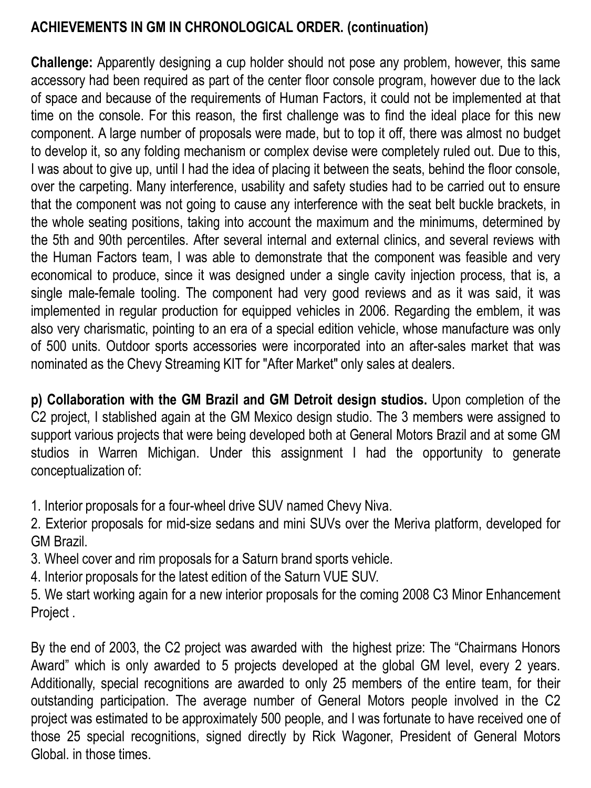**Challenge:** Apparently designing a cup holder should not pose any problem, however, this same accessory had been required as part of the center floor console program, however due to the lack of space and because of the requirements of Human Factors, it could not be implemented at that time on the console. For this reason, the first challenge was to find the ideal place for this new component. A large number of proposals were made, but to top it off, there was almost no budget to develop it, so any folding mechanism or complex devise were completely ruled out. Due to this, I was about to give up, until I had the idea of placing it between the seats, behind the floor console, over the carpeting. Many interference, usability and safety studies had to be carried out to ensure that the component was not going to cause any interference with the seat belt buckle brackets, in the whole seating positions, taking into account the maximum and the minimums, determined by the 5th and 90th percentiles. After several internal and external clinics, and several reviews with the Human Factors team, I was able to demonstrate that the component was feasible and very economical to produce, since it was designed under a single cavity injection process, that is, a single male-female tooling. The component had very good reviews and as it was said, it was implemented in regular production for equipped vehicles in 2006. Regarding the emblem, it was also very charismatic, pointing to an era of a special edition vehicle, whose manufacture was only of 500 units. Outdoor sports accessories were incorporated into an after-sales market that was nominated as the Chevy Streaming KIT for "After Market" only sales at dealers.

**p) Collaboration with the GM Brazil and GM Detroit design studios.** Upon completion of the C2 project, I stablished again at the GM Mexico design studio. The 3 members were assigned to support various projects that were being developed both at General Motors Brazil and at some GM studios in Warren Michigan. Under this assignment I had the opportunity to generate conceptualization of:

1. Interior proposals for a four-wheel drive SUV named Chevy Niva.

2. Exterior proposals for mid-size sedans and mini SUVs over the Meriva platform, developed for GM Brazil.

3. Wheel cover and rim proposals for a Saturn brand sports vehicle.

4. Interior proposals for the latest edition of the Saturn VUE SUV.

5. We start working again for a new interior proposals for the coming 2008 C3 Minor Enhancement Project .

By the end of 2003, the C2 project was awarded with the highest prize: The "Chairmans Honors Award" which is only awarded to 5 projects developed at the global GM level, every 2 years. Additionally, special recognitions are awarded to only 25 members of the entire team, for their outstanding participation. The average number of General Motors people involved in the C2 project was estimated to be approximately 500 people, and I was fortunate to have received one of those 25 special recognitions, signed directly by Rick Wagoner, President of General Motors Global. in those times.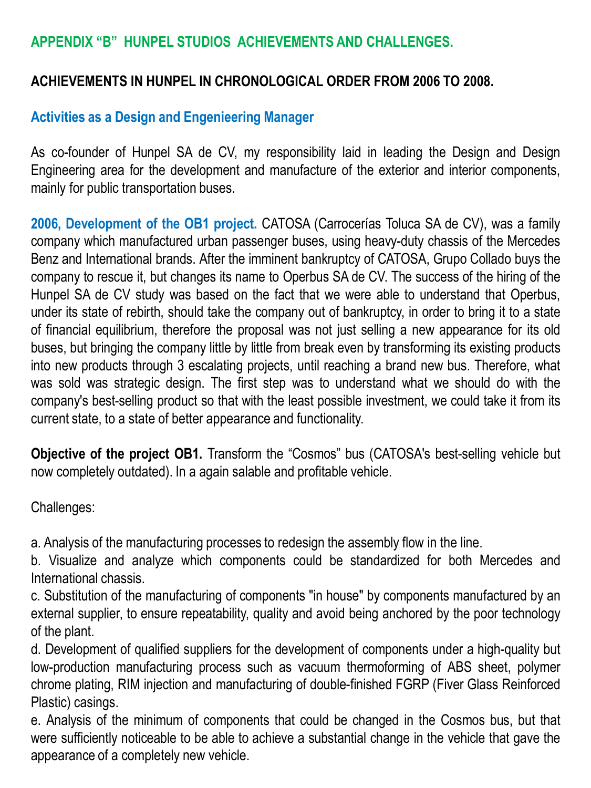### **APPENDIX "B" HUNPEL STUDIOS ACHIEVEMENTS AND CHALLENGES.**

#### **ACHIEVEMENTS IN HUNPEL IN CHRONOLOGICAL ORDER FROM 2006 TO 2008.**

#### **Activities as a Design and Engenieering Manager**

As co-founder of Hunpel SA de CV, my responsibility laid in leading the Design and Design Engineering area for the development and manufacture of the exterior and interior components, mainly for public transportation buses.

**2006, Development of the OB1 project.** CATOSA (Carrocerías Toluca SA de CV), was a family company which manufactured urban passenger buses, using heavy-duty chassis of the Mercedes Benz and International brands. After the imminent bankruptcy of CATOSA, Grupo Collado buys the company to rescue it, but changes its name to Operbus SA de CV. The success of the hiring of the Hunpel SA de CV study was based on the fact that we were able to understand that Operbus, under its state of rebirth, should take the company out of bankruptcy, in order to bring it to a state of financial equilibrium, therefore the proposal was not just selling a new appearance for its old buses, but bringing the company little by little from break even by transforming its existing products into new products through 3 escalating projects, until reaching a brand new bus. Therefore, what was sold was strategic design. The first step was to understand what we should do with the company's best-selling product so that with the least possible investment, we could take it from its current state, to a state of better appearance and functionality.

**Objective of the project OB1.** Transform the "Cosmos" bus (CATOSA's best-selling vehicle but now completely outdated). In a again salable and profitable vehicle.

Challenges:

a. Analysis of the manufacturing processes to redesign the assembly flow in the line.

b. Visualize and analyze which components could be standardized for both Mercedes and International chassis.

c. Substitution of the manufacturing of components "in house" by components manufactured by an external supplier, to ensure repeatability, quality and avoid being anchored by the poor technology of the plant.

d. Development of qualified suppliers for the development of components under a high-quality but low-production manufacturing process such as vacuum thermoforming of ABS sheet, polymer chrome plating, RIM injection and manufacturing of double-finished FGRP (Fiver Glass Reinforced Plastic) casings.

e. Analysis of the minimum of components that could be changed in the Cosmos bus, but that were sufficiently noticeable to be able to achieve a substantial change in the vehicle that gave the appearance of a completely new vehicle.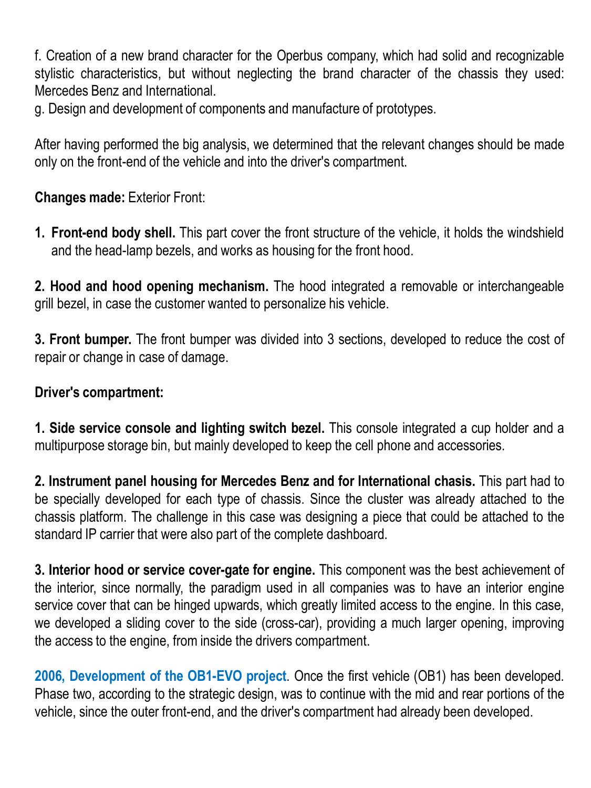f. Creation of a new brand character for the Operbus company, which had solid and recognizable stylistic characteristics, but without neglecting the brand character of the chassis they used: Mercedes Benz and International.

g. Design and development of components and manufacture of prototypes.

After having performed the big analysis, we determined that the relevant changes should be made only on the front-end of the vehicle and into the driver's compartment.

### **Changes made:** Exterior Front:

**1. Front-end body shell.** This part cover the front structure of the vehicle, it holds the windshield and the head-lamp bezels, and works as housing for the front hood.

**2. Hood and hood opening mechanism.** The hood integrated a removable or interchangeable grill bezel, in case the customer wanted to personalize his vehicle.

**3. Front bumper.** The front bumper was divided into 3 sections, developed to reduce the cost of repair or change in case of damage.

#### **Driver's compartment:**

**1. Side service console and lighting switch bezel.** This console integrated a cup holder and a multipurpose storage bin, but mainly developed to keep the cell phone and accessories.

**2. Instrument panel housing for Mercedes Benz and for International chasis.** This part had to be specially developed for each type of chassis. Since the cluster was already attached to the chassis platform. The challenge in this case was designing a piece that could be attached to the standard IP carrier that were also part of the complete dashboard.

**3. Interior hood or service cover-gate for engine.** This component was the best achievement of the interior, since normally, the paradigm used in all companies was to have an interior engine service cover that can be hinged upwards, which greatly limited access to the engine. In this case, we developed a sliding cover to the side (cross-car), providing a much larger opening, improving the access to the engine, from inside the drivers compartment.

**2006, Development of the OB1-EVO project**. Once the first vehicle (OB1) has been developed. Phase two, according to the strategic design, was to continue with the mid and rear portions of the vehicle, since the outer front-end, and the driver's compartment had already been developed.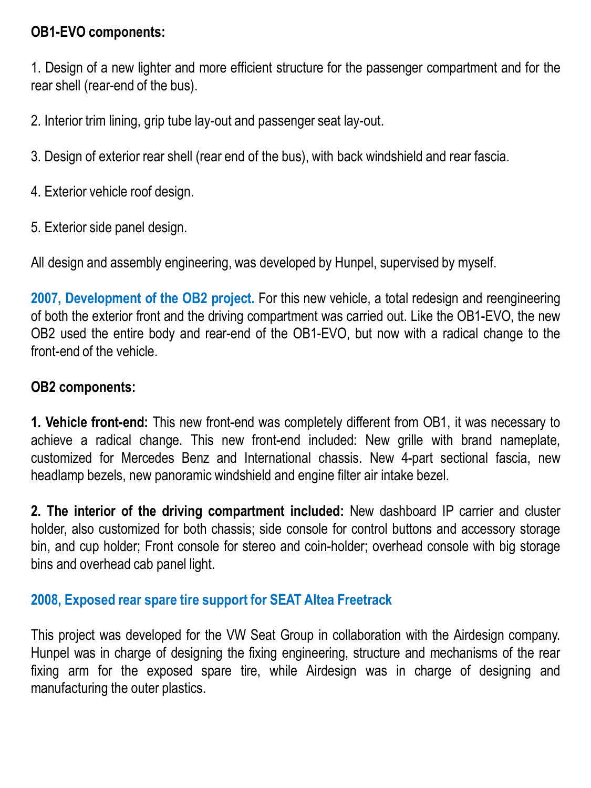### **OB1-EVO components:**

1. Design of a new lighter and more efficient structure for the passenger compartment and for the rear shell (rear-end of the bus).

2. Interior trim lining, grip tube lay-out and passenger seat lay-out.

3. Design of exterior rear shell (rear end of the bus), with back windshield and rear fascia.

- 4. Exterior vehicle roof design.
- 5. Exterior side panel design.

All design and assembly engineering, was developed by Hunpel, supervised by myself.

**2007, Development of the OB2 project.** For this new vehicle, a total redesign and reengineering of both the exterior front and the driving compartment was carried out. Like the OB1-EVO, the new OB2 used the entire body and rear-end of the OB1-EVO, but now with a radical change to the front-end of the vehicle.

#### **OB2 components:**

**1. Vehicle front-end:** This new front-end was completely different from OB1, it was necessary to achieve a radical change. This new front-end included: New grille with brand nameplate, customized for Mercedes Benz and International chassis. New 4-part sectional fascia, new headlamp bezels, new panoramic windshield and engine filter air intake bezel.

**2. The interior of the driving compartment included:** New dashboard IP carrier and cluster holder, also customized for both chassis; side console for control buttons and accessory storage bin, and cup holder; Front console for stereo and coin-holder; overhead console with big storage bins and overhead cab panel light.

#### **2008, Exposed rear spare tire support for SEAT Altea Freetrack**

This project was developed for the VW Seat Group in collaboration with the Airdesign company. Hunpel was in charge of designing the fixing engineering, structure and mechanisms of the rear fixing arm for the exposed spare tire, while Airdesign was in charge of designing and manufacturing the outer plastics.